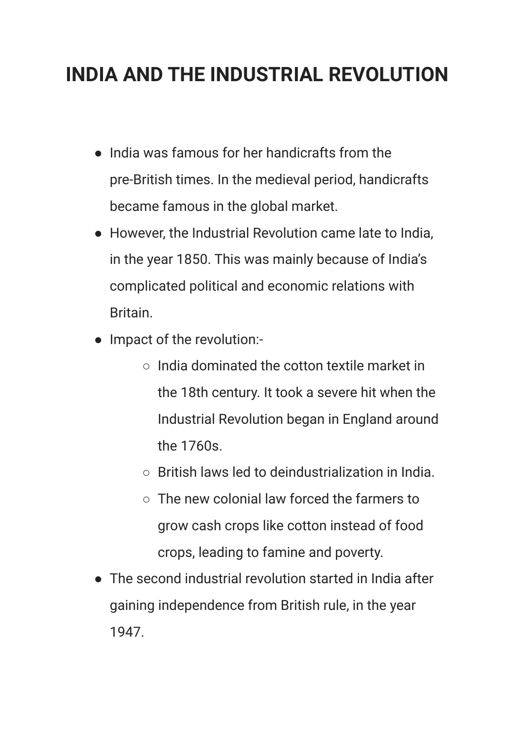## **INDIA AND THE INDUSTRIAL REVOLUTION**

- India was famous for her handicrafts from the pre-British times. In the medieval period, handicrafts became famous in the global market.
- However, the Industrial Revolution came late to India, in the year 1850. This was mainly because of India's complicated political and economic relations with Britain.
- Impact of the revolution:-
	- India dominated the cotton textile market in the 18th century. It took a severe hit when the Industrial Revolution began in England around the 1760s.
	- British laws led to deindustrialization in India.
	- The new colonial law forced the farmers to grow cash crops like cotton instead of food crops, leading to famine and poverty.
- The second industrial revolution started in India after gaining independence from British rule, in the year 1947.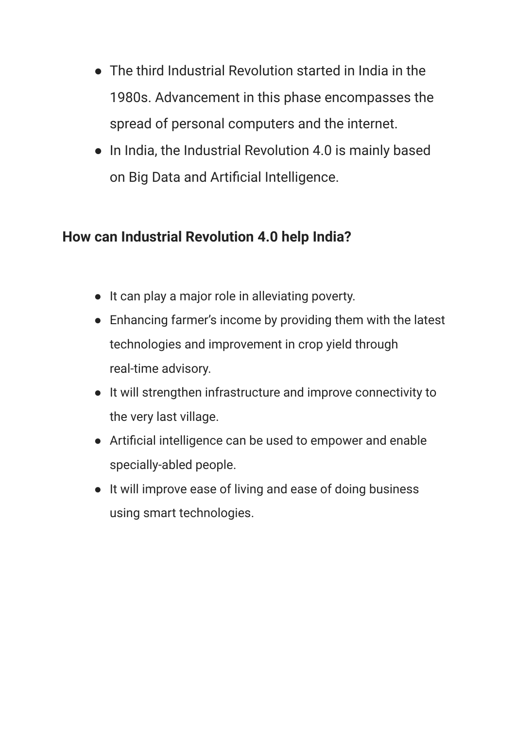- The third Industrial Revolution started in India in the 1980s. Advancement in this phase encompasses the spread of personal computers and the internet.
- In India, the Industrial Revolution 4.0 is mainly based on Big Data and Artificial Intelligence.

## **How can Industrial Revolution 4.0 help India?**

- It can play a major role in alleviating poverty.
- Enhancing farmer's income by providing them with the latest technologies and improvement in crop yield through real-time advisory.
- It will strengthen infrastructure and improve connectivity to the very last village.
- Artificial intelligence can be used to empower and enable specially-abled people.
- It will improve ease of living and ease of doing business using smart technologies.